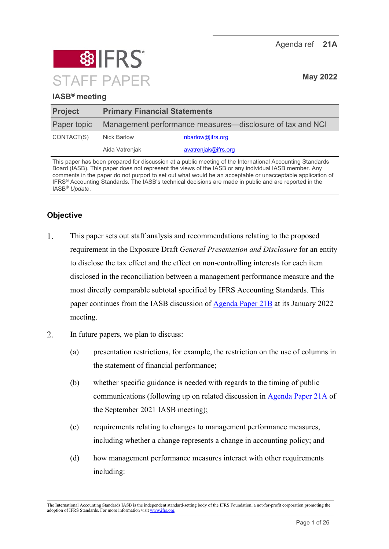

# **IASB® meeting**

| <b>Project</b> | <b>Primary Financial Statements</b>                       |                     |
|----------------|-----------------------------------------------------------|---------------------|
| Paper topic    | Management performance measures—disclosure of tax and NCI |                     |
| CONTACT(S)     | <b>Nick Barlow</b>                                        | nbarlow@ifrs.org    |
|                | Aida Vatrenjak                                            | avatrenjak@ifrs.org |

This paper has been prepared for discussion at a public meeting of the International Accounting Standards Board (IASB). This paper does not represent the views of the IASB or any individual IASB member. Any comments in the paper do not purport to set out what would be an acceptable or unacceptable application of IFRS® Accounting Standards. The IASB's technical decisions are made in public and are reported in the IASB® *Update*.

# **Objective**

- $1.$ This paper sets out staff analysis and recommendations relating to the proposed requirement in the Exposure Draft *General Presentation and Disclosure* for an entity to disclose the tax effect and the effect on non-controlling interests for each item disclosed in the reconciliation between a management performance measure and the most directly comparable subtotal specified by IFRS Accounting Standards. This paper continues from the IASB discussion of [Agenda Paper 21B](https://www.ifrs.org/content/dam/ifrs/meetings/2022/january/iasb/ap21b-pfs-management-performance-measures-disclosure-of-tax-and-nci.pdf) at its January 2022 meeting.
- $2<sup>1</sup>$ In future papers, we plan to discuss:
	- (a) presentation restrictions, for example, the restriction on the use of columns in the statement of financial performance;
	- (b) whether specific guidance is needed with regards to the timing of public communications (following up on related discussion in [Agenda Paper 21A](https://www.ifrs.org/content/dam/ifrs/meetings/2021/september/iasb/ap21a-management-performance-measures-public-communications.pdf) of the September 2021 IASB meeting);
	- (c) requirements relating to changes to management performance measures, including whether a change represents a change in accounting policy; and
	- (d) how management performance measures interact with other requirements including:

The International Accounting Standards IASB is the independent standard-setting body of the IFRS Foundation, a not-for-profit corporation promoting the adoption of IFRS Standards. For more information visi[t www.ifrs.org.](http://www.ifrs.org/)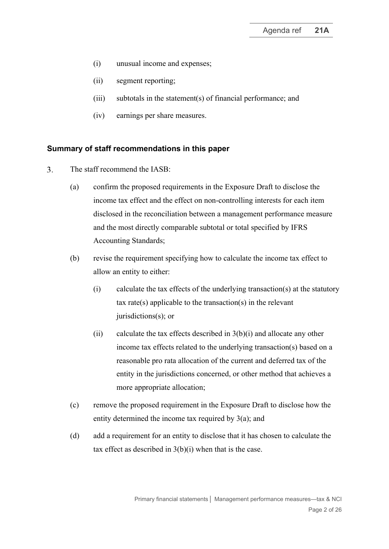- (i) unusual income and expenses;
- (ii) segment reporting;
- (iii) subtotals in the statement(s) of financial performance; and
- (iv) earnings per share measures.

#### **Summary of staff recommendations in this paper**

- <span id="page-1-3"></span><span id="page-1-2"></span><span id="page-1-1"></span><span id="page-1-0"></span> $\overline{3}$ . The staff recommend the IASB:
	- (a) confirm the proposed requirements in the Exposure Draft to disclose the income tax effect and the effect on non-controlling interests for each item disclosed in the reconciliation between a management performance measure and the most directly comparable subtotal or total specified by IFRS Accounting Standards;
	- (b) revise the requirement specifying how to calculate the income tax effect to allow an entity to either:
		- (i) calculate the tax effects of the underlying transaction(s) at the statutory tax rate(s) applicable to the transaction(s) in the relevant jurisdictions(s); or
		- (ii) calculate the tax effects described in  $3(b)(i)$  $3(b)(i)$  $3(b)(i)$  and allocate any other income tax effects related to the underlying transaction(s) based on a reasonable pro rata allocation of the current and deferred tax of the entity in the jurisdictions concerned, or other method that achieves a more appropriate allocation;
	- (c) remove the proposed requirement in the Exposure Draft to disclose how the entity determined the income tax required by [3](#page-1-0)[\(a\);](#page-1-3) and
	- (d) add a requirement for an entity to disclose that it has chosen to calculate the tax effect as described in  $3(b)(i)$  $3(b)(i)$  when that is the case.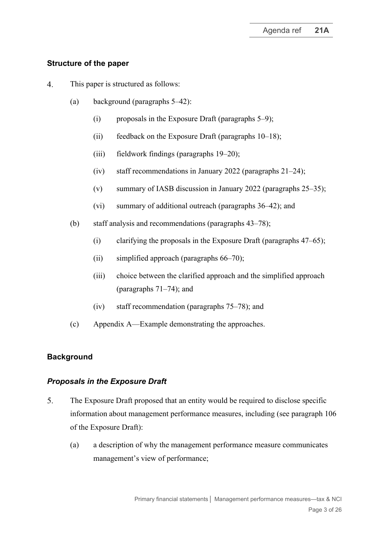# **Structure of the paper**

- $\overline{4}$ . This paper is structured as follows:
	- (a) background (paragraphs [5](#page-2-0)[–42\)](#page-12-0):
		- $(i)$  proposals in the Exposure Draft (paragraphs [5](#page-2-0)[–9\)](#page-4-0);
		- (ii) feedback on the Exposure Draft (paragraphs  $10-18$  $10-18$ );
		- (iii) fieldwork findings (paragraphs [19](#page-6-1)[–20\)](#page-6-2);
		- (iv) staff recommendations in January 2022 (paragraphs [21–](#page-6-3)[24\)](#page-7-0);
		- (v) summary of IASB discussion in January 2022 (paragraphs [25](#page-7-1)[–35\)](#page-10-0);
		- (vi) summary of additional outreach (paragraphs [36](#page-10-1)[–42\)](#page-12-0); and
	- (b) staff analysis and recommendations (paragraphs [43](#page-12-1)[–78\)](#page-22-0);
		- (i) clarifying the proposals in the Exposure Draft (paragraphs [47–](#page-14-0)[65\)](#page-18-0);
		- (ii) simplified approach (paragraphs [66](#page-18-1)[–70\)](#page-19-0);
		- (iii) choice between the clarified approach and the simplified approach (paragraphs [71](#page-19-1)[–74\)](#page-20-0); and
		- (iv) staff recommendation (paragraphs [75–](#page-20-1)[78\)](#page-22-0); and
	- (c) Appendix A—Example demonstrating the approaches.

# **Background**

# *Proposals in the Exposure Draft*

- <span id="page-2-0"></span> $5<sub>1</sub>$ The Exposure Draft proposed that an entity would be required to disclose specific information about management performance measures, including (see paragraph 106 of the Exposure Draft):
	- (a) a description of why the management performance measure communicates management's view of performance;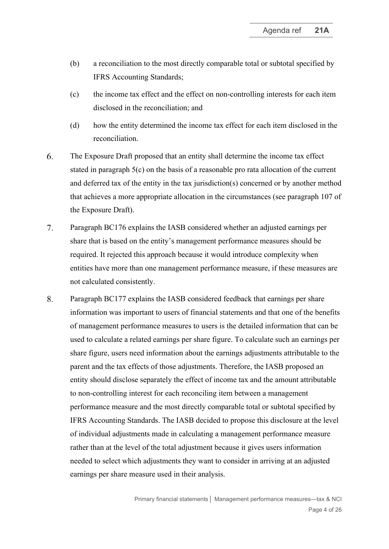- (b) a reconciliation to the most directly comparable total or subtotal specified by IFRS Accounting Standards;
- <span id="page-3-0"></span>(c) the income tax effect and the effect on non-controlling interests for each item disclosed in the reconciliation; and
- (d) how the entity determined the income tax effect for each item disclosed in the reconciliation.
- <span id="page-3-1"></span>The Exposure Draft proposed that an entity shall determine the income tax effect 6. stated in paragraph [5\(c\)](#page-3-0) on the basis of a reasonable pro rata allocation of the current and deferred tax of the entity in the tax jurisdiction(s) concerned or by another method that achieves a more appropriate allocation in the circumstances (see paragraph 107 of the Exposure Draft).
- $7.$ Paragraph BC176 explains the IASB considered whether an adjusted earnings per share that is based on the entity's management performance measures should be required. It rejected this approach because it would introduce complexity when entities have more than one management performance measure, if these measures are not calculated consistently.
- 8. Paragraph BC177 explains the IASB considered feedback that earnings per share information was important to users of financial statements and that one of the benefits of management performance measures to users is the detailed information that can be used to calculate a related earnings per share figure. To calculate such an earnings per share figure, users need information about the earnings adjustments attributable to the parent and the tax effects of those adjustments. Therefore, the IASB proposed an entity should disclose separately the effect of income tax and the amount attributable to non-controlling interest for each reconciling item between a management performance measure and the most directly comparable total or subtotal specified by IFRS Accounting Standards. The IASB decided to propose this disclosure at the level of individual adjustments made in calculating a management performance measure rather than at the level of the total adjustment because it gives users information needed to select which adjustments they want to consider in arriving at an adjusted earnings per share measure used in their analysis.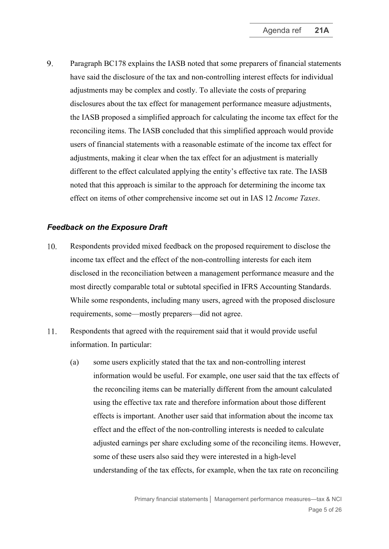<span id="page-4-0"></span>9. Paragraph BC178 explains the IASB noted that some preparers of financial statements have said the disclosure of the tax and non-controlling interest effects for individual adjustments may be complex and costly. To alleviate the costs of preparing disclosures about the tax effect for management performance measure adjustments, the IASB proposed a simplified approach for calculating the income tax effect for the reconciling items. The IASB concluded that this simplified approach would provide users of financial statements with a reasonable estimate of the income tax effect for adjustments, making it clear when the tax effect for an adjustment is materially different to the effect calculated applying the entity's effective tax rate. The IASB noted that this approach is similar to the approach for determining the income tax effect on items of other comprehensive income set out in IAS 12 *Income Taxes*.

#### *Feedback on the Exposure Draft*

- <span id="page-4-1"></span>10. Respondents provided mixed feedback on the proposed requirement to disclose the income tax effect and the effect of the non-controlling interests for each item disclosed in the reconciliation between a management performance measure and the most directly comparable total or subtotal specified in IFRS Accounting Standards. While some respondents, including many users, agreed with the proposed disclosure requirements, some—mostly preparers—did not agree.
- <span id="page-4-2"></span>11. Respondents that agreed with the requirement said that it would provide useful information. In particular:
	- (a) some users explicitly stated that the tax and non-controlling interest information would be useful. For example, one user said that the tax effects of the reconciling items can be materially different from the amount calculated using the effective tax rate and therefore information about those different effects is important. Another user said that information about the income tax effect and the effect of the non-controlling interests is needed to calculate adjusted earnings per share excluding some of the reconciling items. However, some of these users also said they were interested in a high-level understanding of the tax effects, for example, when the tax rate on reconciling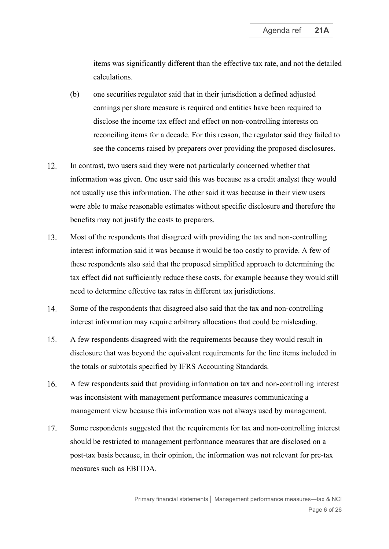items was significantly different than the effective tax rate, and not the detailed calculations.

- (b) one securities regulator said that in their jurisdiction a defined adjusted earnings per share measure is required and entities have been required to disclose the income tax effect and effect on non-controlling interests on reconciling items for a decade. For this reason, the regulator said they failed to see the concerns raised by preparers over providing the proposed disclosures.
- 12. In contrast, two users said they were not particularly concerned whether that information was given. One user said this was because as a credit analyst they would not usually use this information. The other said it was because in their view users were able to make reasonable estimates without specific disclosure and therefore the benefits may not justify the costs to preparers.
- <span id="page-5-0"></span>13. Most of the respondents that disagreed with providing the tax and non-controlling interest information said it was because it would be too costly to provide. A few of these respondents also said that the proposed simplified approach to determining the tax effect did not sufficiently reduce these costs, for example because they would still need to determine effective tax rates in different tax jurisdictions.
- 14. Some of the respondents that disagreed also said that the tax and non-controlling interest information may require arbitrary allocations that could be misleading.
- 15. A few respondents disagreed with the requirements because they would result in disclosure that was beyond the equivalent requirements for the line items included in the totals or subtotals specified by IFRS Accounting Standards.
- 16. A few respondents said that providing information on tax and non-controlling interest was inconsistent with management performance measures communicating a management view because this information was not always used by management.
- 17. Some respondents suggested that the requirements for tax and non-controlling interest should be restricted to management performance measures that are disclosed on a post-tax basis because, in their opinion, the information was not relevant for pre-tax measures such as EBITDA.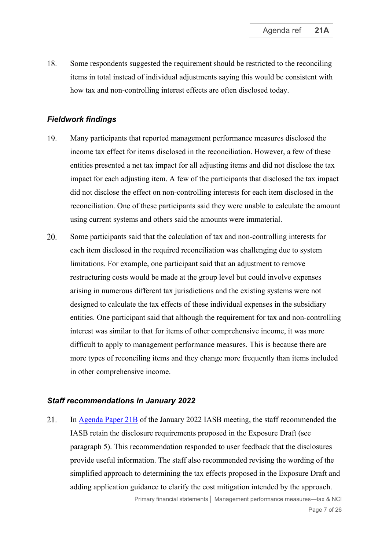<span id="page-6-0"></span>18. Some respondents suggested the requirement should be restricted to the reconciling items in total instead of individual adjustments saying this would be consistent with how tax and non-controlling interest effects are often disclosed today.

#### *Fieldwork findings*

- <span id="page-6-1"></span>19. Many participants that reported management performance measures disclosed the income tax effect for items disclosed in the reconciliation. However, a few of these entities presented a net tax impact for all adjusting items and did not disclose the tax impact for each adjusting item. A few of the participants that disclosed the tax impact did not disclose the effect on non-controlling interests for each item disclosed in the reconciliation. One of these participants said they were unable to calculate the amount using current systems and others said the amounts were immaterial.
- <span id="page-6-2"></span>20. Some participants said that the calculation of tax and non-controlling interests for each item disclosed in the required reconciliation was challenging due to system limitations. For example, one participant said that an adjustment to remove restructuring costs would be made at the group level but could involve expenses arising in numerous different tax jurisdictions and the existing systems were not designed to calculate the tax effects of these individual expenses in the subsidiary entities. One participant said that although the requirement for tax and non-controlling interest was similar to that for items of other comprehensive income, it was more difficult to apply to management performance measures. This is because there are more types of reconciling items and they change more frequently than items included in other comprehensive income.

#### *Staff recommendations in January 2022*

<span id="page-6-3"></span>21. In [Agenda Paper 21B](https://www.ifrs.org/content/dam/ifrs/meetings/2022/january/iasb/ap21b-pfs-management-performance-measures-disclosure-of-tax-and-nci.pdf) of the January 2022 IASB meeting, the staff recommended the IASB retain the disclosure requirements proposed in the Exposure Draft (see paragraph [5\)](#page-2-0). This recommendation responded to user feedback that the disclosures provide useful information. The staff also recommended revising the wording of the simplified approach to determining the tax effects proposed in the Exposure Draft and adding application guidance to clarify the cost mitigation intended by the approach.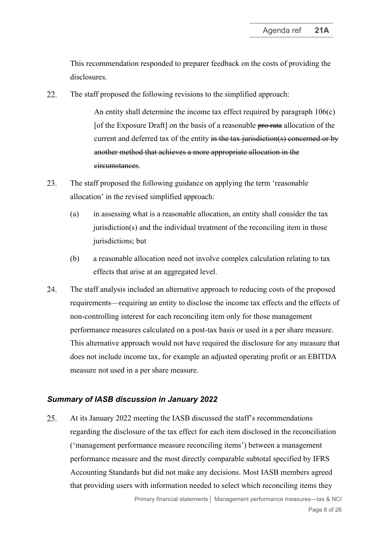This recommendation responded to preparer feedback on the costs of providing the disclosures.

<span id="page-7-2"></span>22. The staff proposed the following revisions to the simplified approach:

> An entity shall determine the income tax effect required by paragraph 106(c) [of the Exposure Draft] on the basis of a reasonable pro rata allocation of the current and deferred tax of the entity in the tax jurisdiction(s) concerned or by another method that achieves a more appropriate allocation in the circumstances.

- <span id="page-7-3"></span>23. The staff proposed the following guidance on applying the term 'reasonable allocation' in the revised simplified approach:
	- (a) in assessing what is a reasonable allocation, an entity shall consider the tax jurisdiction(s) and the individual treatment of the reconciling item in those jurisdictions; but
	- (b) a reasonable allocation need not involve complex calculation relating to tax effects that arise at an aggregated level.
- <span id="page-7-0"></span>24. The staff analysis included an alternative approach to reducing costs of the proposed requirements—requiring an entity to disclose the income tax effects and the effects of non-controlling interest for each reconciling item only for those management performance measures calculated on a post-tax basis or used in a per share measure. This alternative approach would not have required the disclosure for any measure that does not include income tax, for example an adjusted operating profit or an EBITDA measure not used in a per share measure.

#### *Summary of IASB discussion in January 2022*

<span id="page-7-1"></span>25. At its January 2022 meeting the IASB discussed the staff's recommendations regarding the disclosure of the tax effect for each item disclosed in the reconciliation ('management performance measure reconciling items') between a management performance measure and the most directly comparable subtotal specified by IFRS Accounting Standards but did not make any decisions. Most IASB members agreed that providing users with information needed to select which reconciling items they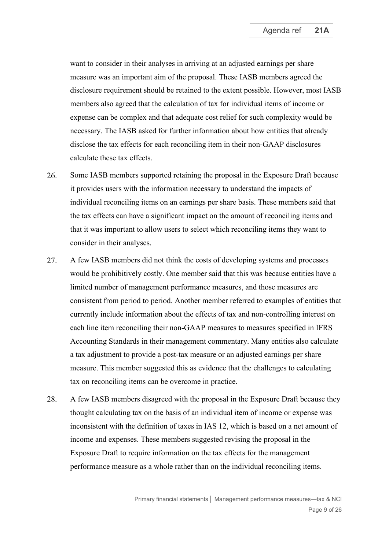want to consider in their analyses in arriving at an adjusted earnings per share measure was an important aim of the proposal. These IASB members agreed the disclosure requirement should be retained to the extent possible. However, most IASB members also agreed that the calculation of tax for individual items of income or expense can be complex and that adequate cost relief for such complexity would be necessary. The IASB asked for further information about how entities that already disclose the tax effects for each reconciling item in their non-GAAP disclosures calculate these tax effects.

- 26. Some IASB members supported retaining the proposal in the Exposure Draft because it provides users with the information necessary to understand the impacts of individual reconciling items on an earnings per share basis. These members said that the tax effects can have a significant impact on the amount of reconciling items and that it was important to allow users to select which reconciling items they want to consider in their analyses.
- 27. A few IASB members did not think the costs of developing systems and processes would be prohibitively costly. One member said that this was because entities have a limited number of management performance measures, and those measures are consistent from period to period. Another member referred to examples of entities that currently include information about the effects of tax and non-controlling interest on each line item reconciling their non-GAAP measures to measures specified in IFRS Accounting Standards in their management commentary. Many entities also calculate a tax adjustment to provide a post-tax measure or an adjusted earnings per share measure. This member suggested this as evidence that the challenges to calculating tax on reconciling items can be overcome in practice.
- 28. A few IASB members disagreed with the proposal in the Exposure Draft because they thought calculating tax on the basis of an individual item of income or expense was inconsistent with the definition of taxes in IAS 12, which is based on a net amount of income and expenses. These members suggested revising the proposal in the Exposure Draft to require information on the tax effects for the management performance measure as a whole rather than on the individual reconciling items.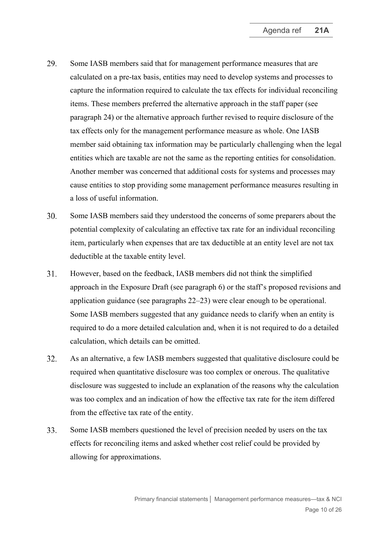- <span id="page-9-0"></span>29. Some IASB members said that for management performance measures that are calculated on a pre-tax basis, entities may need to develop systems and processes to capture the information required to calculate the tax effects for individual reconciling items. These members preferred the alternative approach in the staff paper (see paragraph [24\)](#page-7-0) or the alternative approach further revised to require disclosure of the tax effects only for the management performance measure as whole. One IASB member said obtaining tax information may be particularly challenging when the legal entities which are taxable are not the same as the reporting entities for consolidation. Another member was concerned that additional costs for systems and processes may cause entities to stop providing some management performance measures resulting in a loss of useful information.
- 30. Some IASB members said they understood the concerns of some preparers about the potential complexity of calculating an effective tax rate for an individual reconciling item, particularly when expenses that are tax deductible at an entity level are not tax deductible at the taxable entity level.
- 31. However, based on the feedback, IASB members did not think the simplified approach in the Exposure Draft (see paragraph [6\)](#page-3-1) or the staff's proposed revisions and application guidance (see paragraphs [22](#page-7-2)[–23\)](#page-7-3) were clear enough to be operational. Some IASB members suggested that any guidance needs to clarify when an entity is required to do a more detailed calculation and, when it is not required to do a detailed calculation, which details can be omitted.
- 32. As an alternative, a few IASB members suggested that qualitative disclosure could be required when quantitative disclosure was too complex or onerous. The qualitative disclosure was suggested to include an explanation of the reasons why the calculation was too complex and an indication of how the effective tax rate for the item differed from the effective tax rate of the entity.
- 33. Some IASB members questioned the level of precision needed by users on the tax effects for reconciling items and asked whether cost relief could be provided by allowing for approximations.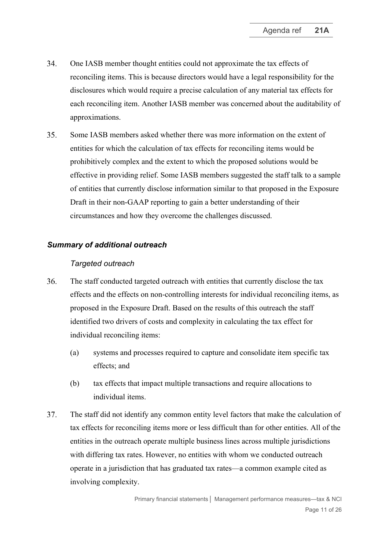- <span id="page-10-2"></span>34. One IASB member thought entities could not approximate the tax effects of reconciling items. This is because directors would have a legal responsibility for the disclosures which would require a precise calculation of any material tax effects for each reconciling item. Another IASB member was concerned about the auditability of approximations.
- <span id="page-10-0"></span>35. Some IASB members asked whether there was more information on the extent of entities for which the calculation of tax effects for reconciling items would be prohibitively complex and the extent to which the proposed solutions would be effective in providing relief. Some IASB members suggested the staff talk to a sample of entities that currently disclose information similar to that proposed in the Exposure Draft in their non-GAAP reporting to gain a better understanding of their circumstances and how they overcome the challenges discussed.

#### *Summary of additional outreach*

#### *Targeted outreach*

- <span id="page-10-1"></span>36. The staff conducted targeted outreach with entities that currently disclose the tax effects and the effects on non-controlling interests for individual reconciling items, as proposed in the Exposure Draft. Based on the results of this outreach the staff identified two drivers of costs and complexity in calculating the tax effect for individual reconciling items:
	- (a) systems and processes required to capture and consolidate item specific tax effects; and
	- (b) tax effects that impact multiple transactions and require allocations to individual items.
- 37. The staff did not identify any common entity level factors that make the calculation of tax effects for reconciling items more or less difficult than for other entities. All of the entities in the outreach operate multiple business lines across multiple jurisdictions with differing tax rates. However, no entities with whom we conducted outreach operate in a jurisdiction that has graduated tax rates—a common example cited as involving complexity.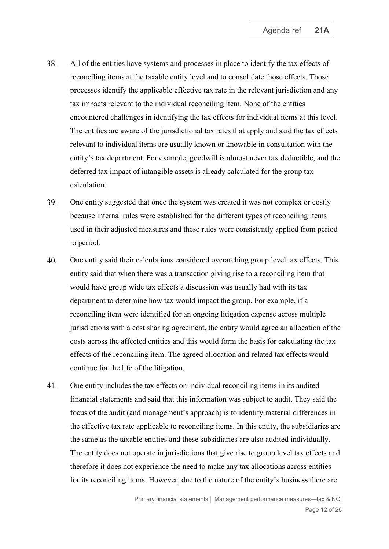- <span id="page-11-0"></span>38. All of the entities have systems and processes in place to identify the tax effects of reconciling items at the taxable entity level and to consolidate those effects. Those processes identify the applicable effective tax rate in the relevant jurisdiction and any tax impacts relevant to the individual reconciling item. None of the entities encountered challenges in identifying the tax effects for individual items at this level. The entities are aware of the jurisdictional tax rates that apply and said the tax effects relevant to individual items are usually known or knowable in consultation with the entity's tax department. For example, goodwill is almost never tax deductible, and the deferred tax impact of intangible assets is already calculated for the group tax calculation.
- 39. One entity suggested that once the system was created it was not complex or costly because internal rules were established for the different types of reconciling items used in their adjusted measures and these rules were consistently applied from period to period.
- 40. One entity said their calculations considered overarching group level tax effects. This entity said that when there was a transaction giving rise to a reconciling item that would have group wide tax effects a discussion was usually had with its tax department to determine how tax would impact the group. For example, if a reconciling item were identified for an ongoing litigation expense across multiple jurisdictions with a cost sharing agreement, the entity would agree an allocation of the costs across the affected entities and this would form the basis for calculating the tax effects of the reconciling item. The agreed allocation and related tax effects would continue for the life of the litigation.
- 41. One entity includes the tax effects on individual reconciling items in its audited financial statements and said that this information was subject to audit. They said the focus of the audit (and management's approach) is to identify material differences in the effective tax rate applicable to reconciling items. In this entity, the subsidiaries are the same as the taxable entities and these subsidiaries are also audited individually. The entity does not operate in jurisdictions that give rise to group level tax effects and therefore it does not experience the need to make any tax allocations across entities for its reconciling items. However, due to the nature of the entity's business there are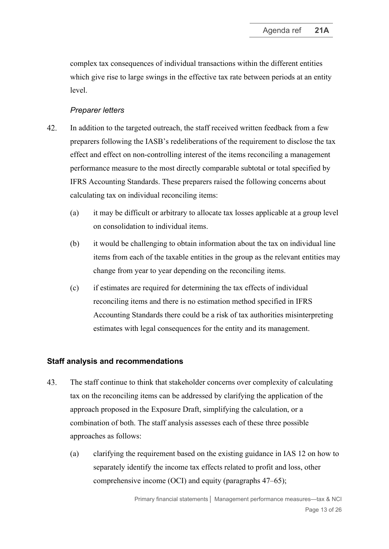complex tax consequences of individual transactions within the different entities which give rise to large swings in the effective tax rate between periods at an entity level.

# *Preparer letters*

- <span id="page-12-0"></span>42. In addition to the targeted outreach, the staff received written feedback from a few preparers following the IASB's redeliberations of the requirement to disclose the tax effect and effect on non-controlling interest of the items reconciling a management performance measure to the most directly comparable subtotal or total specified by IFRS Accounting Standards. These preparers raised the following concerns about calculating tax on individual reconciling items:
	- (a) it may be difficult or arbitrary to allocate tax losses applicable at a group level on consolidation to individual items.
	- (b) it would be challenging to obtain information about the tax on individual line items from each of the taxable entities in the group as the relevant entities may change from year to year depending on the reconciling items.
	- (c) if estimates are required for determining the tax effects of individual reconciling items and there is no estimation method specified in IFRS Accounting Standards there could be a risk of tax authorities misinterpreting estimates with legal consequences for the entity and its management.

# **Staff analysis and recommendations**

- <span id="page-12-1"></span>43. The staff continue to think that stakeholder concerns over complexity of calculating tax on the reconciling items can be addressed by clarifying the application of the approach proposed in the Exposure Draft, simplifying the calculation, or a combination of both. The staff analysis assesses each of these three possible approaches as follows:
	- (a) clarifying the requirement based on the existing guidance in IAS 12 on how to separately identify the income tax effects related to profit and loss, other comprehensive income (OCI) and equity (paragraphs [47](#page-14-0)[–65\)](#page-18-0);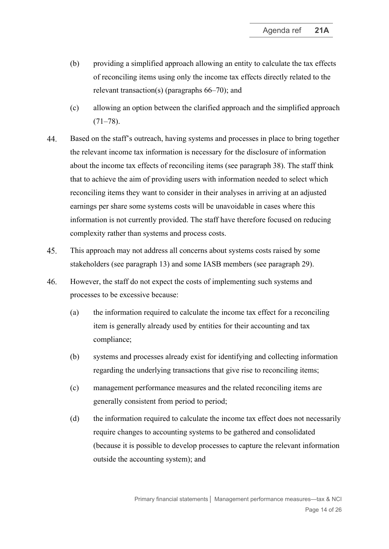- (b) providing a simplified approach allowing an entity to calculate the tax effects of reconciling items using only the income tax effects directly related to the relevant transaction(s) (paragraphs [66–](#page-18-1)[70\)](#page-19-0); and
- (c) allowing an option between the clarified approach and the simplified approach  $(71–78)$  $(71–78)$ .
- 44. Based on the staff's outreach, having systems and processes in place to bring together the relevant income tax information is necessary for the disclosure of information about the income tax effects of reconciling items (see paragraph [38\)](#page-11-0). The staff think that to achieve the aim of providing users with information needed to select which reconciling items they want to consider in their analyses in arriving at an adjusted earnings per share some systems costs will be unavoidable in cases where this information is not currently provided. The staff have therefore focused on reducing complexity rather than systems and process costs.
- 45. This approach may not address all concerns about systems costs raised by some stakeholders (see paragraph [13\)](#page-5-0) and some IASB members (see paragraph [29\)](#page-9-0).
- 46. However, the staff do not expect the costs of implementing such systems and processes to be excessive because:
	- (a) the information required to calculate the income tax effect for a reconciling item is generally already used by entities for their accounting and tax compliance;
	- (b) systems and processes already exist for identifying and collecting information regarding the underlying transactions that give rise to reconciling items;
	- (c) management performance measures and the related reconciling items are generally consistent from period to period;
	- (d) the information required to calculate the income tax effect does not necessarily require changes to accounting systems to be gathered and consolidated (because it is possible to develop processes to capture the relevant information outside the accounting system); and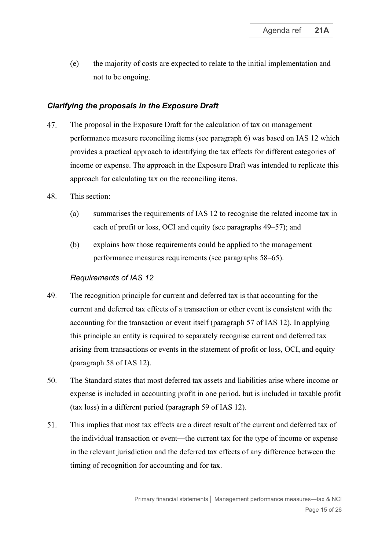(e) the majority of costs are expected to relate to the initial implementation and not to be ongoing.

# *Clarifying the proposals in the Exposure Draft*

- <span id="page-14-0"></span>47. The proposal in the Exposure Draft for the calculation of tax on management performance measure reconciling items (see paragraph [6\)](#page-3-1) was based on IAS 12 which provides a practical approach to identifying the tax effects for different categories of income or expense. The approach in the Exposure Draft was intended to replicate this approach for calculating tax on the reconciling items.
- 48. This section:
	- (a) summarises the requirements of IAS 12 to recognise the related income tax in each of profit or loss, OCI and equity (see paragraphs [49](#page-14-1)[–57\)](#page-16-0); and
	- (b) explains how those requirements could be applied to the management performance measures requirements (see paragraphs [58–](#page-17-0)[65\)](#page-18-0).

# *Requirements of IAS 12*

- <span id="page-14-1"></span>49. The recognition principle for current and deferred tax is that accounting for the current and deferred tax effects of a transaction or other event is consistent with the accounting for the transaction or event itself (paragraph 57 of IAS 12). In applying this principle an entity is required to separately recognise current and deferred tax arising from transactions or events in the statement of profit or loss, OCI, and equity (paragraph 58 of IAS 12).
- 50. The Standard states that most deferred tax assets and liabilities arise where income or expense is included in accounting profit in one period, but is included in taxable profit (tax loss) in a different period (paragraph 59 of IAS 12).
- 51. This implies that most tax effects are a direct result of the current and deferred tax of the individual transaction or event—the current tax for the type of income or expense in the relevant jurisdiction and the deferred tax effects of any difference between the timing of recognition for accounting and for tax.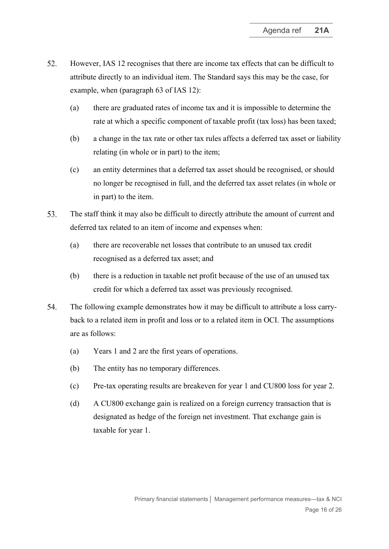- <span id="page-15-0"></span>52. However, IAS 12 recognises that there are income tax effects that can be difficult to attribute directly to an individual item. The Standard says this may be the case, for example, when (paragraph 63 of IAS 12):
	- (a) there are graduated rates of income tax and it is impossible to determine the rate at which a specific component of taxable profit (tax loss) has been taxed;
	- (b) a change in the tax rate or other tax rules affects a deferred tax asset or liability relating (in whole or in part) to the item;
	- (c) an entity determines that a deferred tax asset should be recognised, or should no longer be recognised in full, and the deferred tax asset relates (in whole or in part) to the item.
- 53. The staff think it may also be difficult to directly attribute the amount of current and deferred tax related to an item of income and expenses when:
	- (a) there are recoverable net losses that contribute to an unused tax credit recognised as a deferred tax asset; and
	- (b) there is a reduction in taxable net profit because of the use of an unused tax credit for which a deferred tax asset was previously recognised.
- 54. The following example demonstrates how it may be difficult to attribute a loss carryback to a related item in profit and loss or to a related item in OCI. The assumptions are as follows:
	- (a) Years 1 and 2 are the first years of operations.
	- (b) The entity has no temporary differences.
	- (c) Pre-tax operating results are breakeven for year 1 and CU800 loss for year 2.
	- (d) A CU800 exchange gain is realized on a foreign currency transaction that is designated as hedge of the foreign net investment. That exchange gain is taxable for year 1.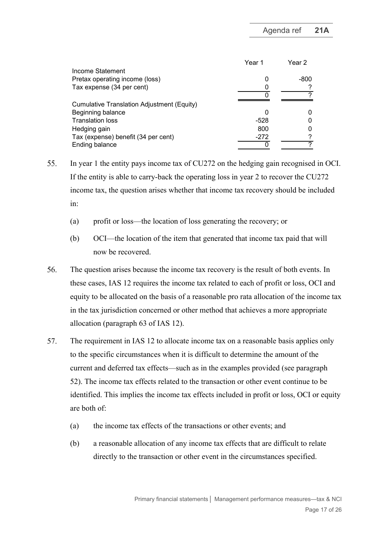|                                            | Year 1 | Year 2 |
|--------------------------------------------|--------|--------|
| Income Statement                           |        |        |
| Pretax operating income (loss)             |        | -800   |
| Tax expense (34 per cent)                  |        |        |
|                                            |        |        |
| Cumulative Translation Adjustment (Equity) |        |        |
| Beginning balance                          |        |        |
| <b>Translation loss</b>                    | -528   |        |
| Hedging gain                               | 800    |        |
| Tax (expense) benefit (34 per cent)        | $-272$ | ⌒      |
| Ending balance                             |        |        |

- 55. In year 1 the entity pays income tax of CU272 on the hedging gain recognised in OCI. If the entity is able to carry-back the operating loss in year 2 to recover the CU272 income tax, the question arises whether that income tax recovery should be included in:
	- (a) profit or loss—the location of loss generating the recovery; or
	- (b) OCI—the location of the item that generated that income tax paid that will now be recovered.
- 56. The question arises because the income tax recovery is the result of both events. In these cases, IAS 12 requires the income tax related to each of profit or loss, OCI and equity to be allocated on the basis of a reasonable pro rata allocation of the income tax in the tax jurisdiction concerned or other method that achieves a more appropriate allocation (paragraph 63 of IAS 12).
- <span id="page-16-0"></span>57. The requirement in IAS 12 to allocate income tax on a reasonable basis applies only to the specific circumstances when it is difficult to determine the amount of the current and deferred tax effects—such as in the examples provided (see paragraph [52\)](#page-15-0). The income tax effects related to the transaction or other event continue to be identified. This implies the income tax effects included in profit or loss, OCI or equity are both of:
	- (a) the income tax effects of the transactions or other events; and
	- (b) a reasonable allocation of any income tax effects that are difficult to relate directly to the transaction or other event in the circumstances specified.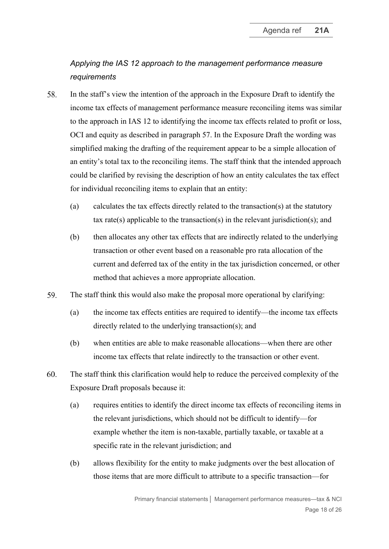# *Applying the IAS 12 approach to the management performance measure requirements*

- <span id="page-17-0"></span>58. In the staff's view the intention of the approach in the Exposure Draft to identify the income tax effects of management performance measure reconciling items was similar to the approach in IAS 12 to identifying the income tax effects related to profit or loss, OCI and equity as described in paragraph [57.](#page-16-0) In the Exposure Draft the wording was simplified making the drafting of the requirement appear to be a simple allocation of an entity's total tax to the reconciling items. The staff think that the intended approach could be clarified by revising the description of how an entity calculates the tax effect for individual reconciling items to explain that an entity:
	- (a) calculates the tax effects directly related to the transaction(s) at the statutory tax rate(s) applicable to the transaction(s) in the relevant jurisdiction(s); and
	- (b) then allocates any other tax effects that are indirectly related to the underlying transaction or other event based on a reasonable pro rata allocation of the current and deferred tax of the entity in the tax jurisdiction concerned, or other method that achieves a more appropriate allocation.
- 59. The staff think this would also make the proposal more operational by clarifying:
	- (a) the income tax effects entities are required to identify—the income tax effects directly related to the underlying transaction(s); and
	- (b) when entities are able to make reasonable allocations—when there are other income tax effects that relate indirectly to the transaction or other event.
- 60. The staff think this clarification would help to reduce the perceived complexity of the Exposure Draft proposals because it:
	- (a) requires entities to identify the direct income tax effects of reconciling items in the relevant jurisdictions, which should not be difficult to identify—for example whether the item is non-taxable, partially taxable, or taxable at a specific rate in the relevant jurisdiction; and
	- (b) allows flexibility for the entity to make judgments over the best allocation of those items that are more difficult to attribute to a specific transaction—for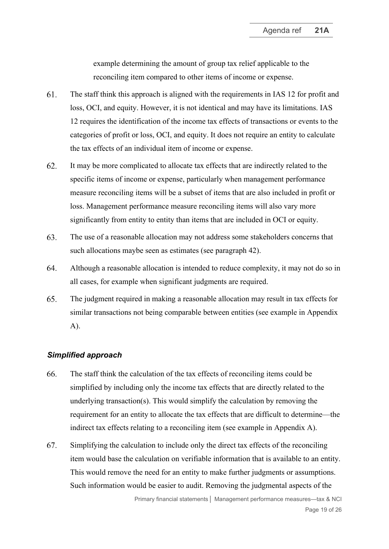example determining the amount of group tax relief applicable to the reconciling item compared to other items of income or expense.

- 61. The staff think this approach is aligned with the requirements in IAS 12 for profit and loss, OCI, and equity. However, it is not identical and may have its limitations. IAS 12 requires the identification of the income tax effects of transactions or events to the categories of profit or loss, OCI, and equity. It does not require an entity to calculate the tax effects of an individual item of income or expense.
- 62. It may be more complicated to allocate tax effects that are indirectly related to the specific items of income or expense, particularly when management performance measure reconciling items will be a subset of items that are also included in profit or loss. Management performance measure reconciling items will also vary more significantly from entity to entity than items that are included in OCI or equity.
- 63. The use of a reasonable allocation may not address some stakeholders concerns that such allocations maybe seen as estimates (see paragraph [42\)](#page-12-0).
- 64. Although a reasonable allocation is intended to reduce complexity, it may not do so in all cases, for example when significant judgments are required.
- <span id="page-18-0"></span>65. The judgment required in making a reasonable allocation may result in tax effects for similar transactions not being comparable between entities (see example in Appendix A).

#### *Simplified approach*

- <span id="page-18-1"></span>66. The staff think the calculation of the tax effects of reconciling items could be simplified by including only the income tax effects that are directly related to the underlying transaction(s). This would simplify the calculation by removing the requirement for an entity to allocate the tax effects that are difficult to determine—the indirect tax effects relating to a reconciling item (see example in Appendix A).
- 67. Simplifying the calculation to include only the direct tax effects of the reconciling item would base the calculation on verifiable information that is available to an entity. This would remove the need for an entity to make further judgments or assumptions. Such information would be easier to audit. Removing the judgmental aspects of the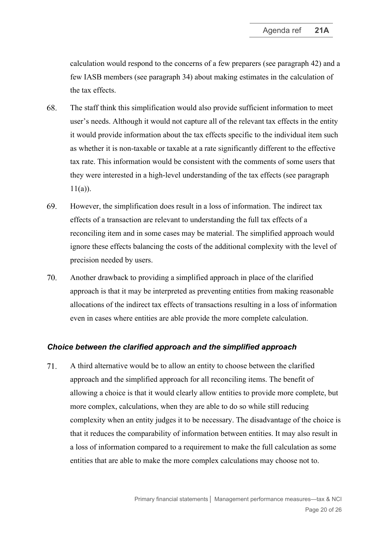calculation would respond to the concerns of a few preparers (see paragraph [42\)](#page-12-0) and a few IASB members (see paragraph [34\)](#page-10-2) about making estimates in the calculation of the tax effects.

- 68. The staff think this simplification would also provide sufficient information to meet user's needs. Although it would not capture all of the relevant tax effects in the entity it would provide information about the tax effects specific to the individual item such as whether it is non-taxable or taxable at a rate significantly different to the effective tax rate. This information would be consistent with the comments of some users that they were interested in a high-level understanding of the tax effects (see paragraph  $11(a)$ ).
- 69. However, the simplification does result in a loss of information. The indirect tax effects of a transaction are relevant to understanding the full tax effects of a reconciling item and in some cases may be material. The simplified approach would ignore these effects balancing the costs of the additional complexity with the level of precision needed by users.
- <span id="page-19-0"></span>70. Another drawback to providing a simplified approach in place of the clarified approach is that it may be interpreted as preventing entities from making reasonable allocations of the indirect tax effects of transactions resulting in a loss of information even in cases where entities are able provide the more complete calculation.

#### *Choice between the clarified approach and the simplified approach*

<span id="page-19-1"></span>71. A third alternative would be to allow an entity to choose between the clarified approach and the simplified approach for all reconciling items. The benefit of allowing a choice is that it would clearly allow entities to provide more complete, but more complex, calculations, when they are able to do so while still reducing complexity when an entity judges it to be necessary. The disadvantage of the choice is that it reduces the comparability of information between entities. It may also result in a loss of information compared to a requirement to make the full calculation as some entities that are able to make the more complex calculations may choose not to.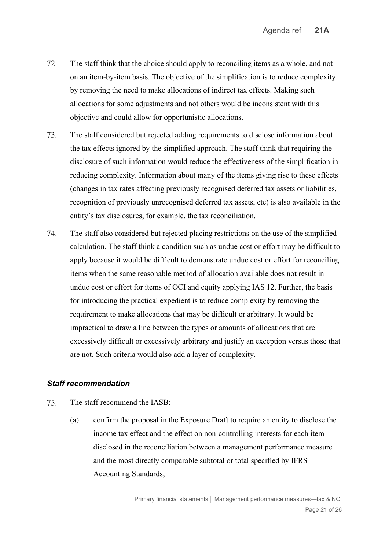- 72. The staff think that the choice should apply to reconciling items as a whole, and not on an item-by-item basis. The objective of the simplification is to reduce complexity by removing the need to make allocations of indirect tax effects. Making such allocations for some adjustments and not others would be inconsistent with this objective and could allow for opportunistic allocations.
- 73. The staff considered but rejected adding requirements to disclose information about the tax effects ignored by the simplified approach. The staff think that requiring the disclosure of such information would reduce the effectiveness of the simplification in reducing complexity. Information about many of the items giving rise to these effects (changes in tax rates affecting previously recognised deferred tax assets or liabilities, recognition of previously unrecognised deferred tax assets, etc) is also available in the entity's tax disclosures, for example, the tax reconciliation.
- <span id="page-20-0"></span>74. The staff also considered but rejected placing restrictions on the use of the simplified calculation. The staff think a condition such as undue cost or effort may be difficult to apply because it would be difficult to demonstrate undue cost or effort for reconciling items when the same reasonable method of allocation available does not result in undue cost or effort for items of OCI and equity applying IAS 12. Further, the basis for introducing the practical expedient is to reduce complexity by removing the requirement to make allocations that may be difficult or arbitrary. It would be impractical to draw a line between the types or amounts of allocations that are excessively difficult or excessively arbitrary and justify an exception versus those that are not. Such criteria would also add a layer of complexity.

#### *Staff recommendation*

- <span id="page-20-1"></span>75. The staff recommend the IASB:
	- (a) confirm the proposal in the Exposure Draft to require an entity to disclose the income tax effect and the effect on non-controlling interests for each item disclosed in the reconciliation between a management performance measure and the most directly comparable subtotal or total specified by IFRS Accounting Standards;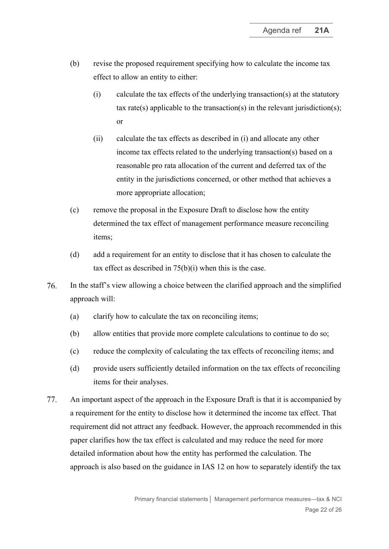- <span id="page-21-0"></span>(b) revise the proposed requirement specifying how to calculate the income tax effect to allow an entity to either:
	- (i) calculate the tax effects of the underlying transaction(s) at the statutory tax rate(s) applicable to the transaction(s) in the relevant jurisdiction(s); or
	- (ii) calculate the tax effects as described in [\(i\)](#page-21-0) and allocate any other income tax effects related to the underlying transaction(s) based on a reasonable pro rata allocation of the current and deferred tax of the entity in the jurisdictions concerned, or other method that achieves a more appropriate allocation;
- (c) remove the proposal in the Exposure Draft to disclose how the entity determined the tax effect of management performance measure reconciling items;
- (d) add a requirement for an entity to disclose that it has chosen to calculate the tax effect as described in  $75(b)(i)$  $75(b)(i)$  when this is the case.
- 76. In the staff's view allowing a choice between the clarified approach and the simplified approach will:
	- (a) clarify how to calculate the tax on reconciling items;
	- (b) allow entities that provide more complete calculations to continue to do so;
	- (c) reduce the complexity of calculating the tax effects of reconciling items; and
	- (d) provide users sufficiently detailed information on the tax effects of reconciling items for their analyses.
- 77. An important aspect of the approach in the Exposure Draft is that it is accompanied by a requirement for the entity to disclose how it determined the income tax effect. That requirement did not attract any feedback. However, the approach recommended in this paper clarifies how the tax effect is calculated and may reduce the need for more detailed information about how the entity has performed the calculation. The approach is also based on the guidance in IAS 12 on how to separately identify the tax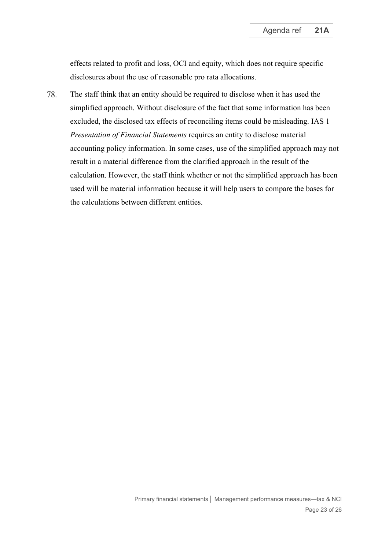effects related to profit and loss, OCI and equity, which does not require specific disclosures about the use of reasonable pro rata allocations.

<span id="page-22-0"></span>The staff think that an entity should be required to disclose when it has used the 78. simplified approach. Without disclosure of the fact that some information has been excluded, the disclosed tax effects of reconciling items could be misleading. IAS 1 *Presentation of Financial Statements* requires an entity to disclose material accounting policy information. In some cases, use of the simplified approach may not result in a material difference from the clarified approach in the result of the calculation. However, the staff think whether or not the simplified approach has been used will be material information because it will help users to compare the bases for the calculations between different entities.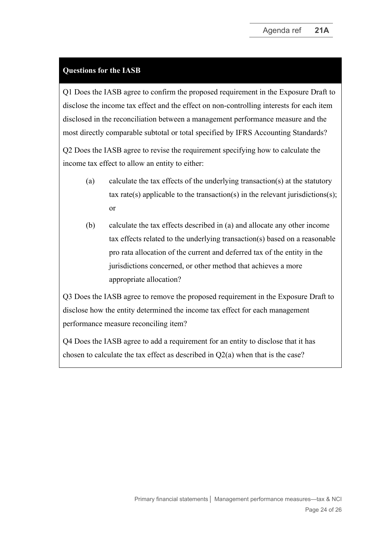# **Questions for the IASB**

Q1 Does the IASB agree to confirm the proposed requirement in the Exposure Draft to disclose the income tax effect and the effect on non-controlling interests for each item disclosed in the reconciliation between a management performance measure and the most directly comparable subtotal or total specified by IFRS Accounting Standards?

Q2 Does the IASB agree to revise the requirement specifying how to calculate the income tax effect to allow an entity to either:

- (a) calculate the tax effects of the underlying transaction(s) at the statutory tax rate(s) applicable to the transaction(s) in the relevant jurisdictions(s); or
- (b) calculate the tax effects described in (a) and allocate any other income tax effects related to the underlying transaction(s) based on a reasonable pro rata allocation of the current and deferred tax of the entity in the jurisdictions concerned, or other method that achieves a more appropriate allocation?

Q3 Does the IASB agree to remove the proposed requirement in the Exposure Draft to disclose how the entity determined the income tax effect for each management performance measure reconciling item?

Q4 Does the IASB agree to add a requirement for an entity to disclose that it has chosen to calculate the tax effect as described in Q2(a) when that is the case?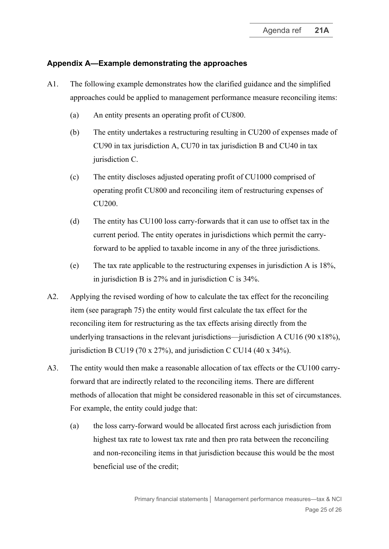### **Appendix A—Example demonstrating the approaches**

- A1. The following example demonstrates how the clarified guidance and the simplified approaches could be applied to management performance measure reconciling items:
	- (a) An entity presents an operating profit of CU800.
	- (b) The entity undertakes a restructuring resulting in CU200 of expenses made of CU90 in tax jurisdiction A, CU70 in tax jurisdiction B and CU40 in tax jurisdiction C.
	- (c) The entity discloses adjusted operating profit of CU1000 comprised of operating profit CU800 and reconciling item of restructuring expenses of CU200.
	- (d) The entity has CU100 loss carry-forwards that it can use to offset tax in the current period. The entity operates in jurisdictions which permit the carryforward to be applied to taxable income in any of the three jurisdictions.
	- (e) The tax rate applicable to the restructuring expenses in jurisdiction A is 18%, in jurisdiction B is 27% and in jurisdiction C is 34%.
- A2. Applying the revised wording of how to calculate the tax effect for the reconciling item (see paragraph [75\)](#page-20-1) the entity would first calculate the tax effect for the reconciling item for restructuring as the tax effects arising directly from the underlying transactions in the relevant jurisdictions—jurisdiction A CU16 (90 x18%), jurisdiction B CU19 (70 x 27%), and jurisdiction C CU14 (40 x 34%).
- A3. The entity would then make a reasonable allocation of tax effects or the CU100 carryforward that are indirectly related to the reconciling items. There are different methods of allocation that might be considered reasonable in this set of circumstances. For example, the entity could judge that:
	- (a) the loss carry-forward would be allocated first across each jurisdiction from highest tax rate to lowest tax rate and then pro rata between the reconciling and non-reconciling items in that jurisdiction because this would be the most beneficial use of the credit;